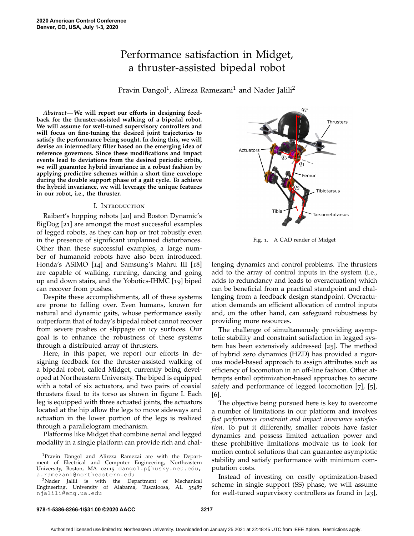# Performance satisfaction in Midget, a thruster-assisted bipedal robot

Pravin Dangol $^1$ , Alireza Ramezani $^1$  and Nader Jalili $^2$ 

*Abstract***— We will report our efforts in designing feedback for the thruster-assisted walking of a bipedal robot. We will assume for well-tuned supervisory controllers and will focus on fine-tuning the desired joint trajectories to satisfy the performance being sought. In doing this, we will devise an intermediary filter based on the emerging idea of reference governors. Since these modifications and impact events lead to deviations from the desired periodic orbits, we will guarantee hybrid invariance in a robust fashion by applying predictive schemes within a short time envelope during the double support phase of a gait cycle. To achieve the hybrid invariance, we will leverage the unique features in our robot, i.e., the thruster.**

## I. Introduction

Raibert's hopping robots [20] and Boston Dynamic's BigDog [21] are amongst the most successful examples of legged robots, as they can hop or trot robustly even in the presence of significant unplanned disturbances. Other than these successful examples, a large number of humanoid robots have also been introduced. Honda's ASIMO [14] and Samsung's Mahru III [18] are capable of walking, running, dancing and going up and down stairs, and the Yobotics-IHMC [19] biped can recover from pushes.

Despite these accomplishments, all of these systems are prone to falling over. Even humans, known for natural and dynamic gaits, whose performance easily outperform that of today's bipedal robot cannot recover from severe pushes or slippage on icy surfaces. Our goal is to enhance the robustness of these systems through a distributed array of thrusters.

Here, in this paper, we report our efforts in designing feedback for the thruster-assisted walking of a bipedal robot, called Midget, currently being developed at Northeastern University. The biped is equipped with a total of six actuators, and two pairs of coaxial thrusters fixed to its torso as shown in figure I. Each leg is equipped with three actuated joints, the actuators located at the hip allow the legs to move sideways and actuation in the lower portion of the legs is realized through a parallelogram mechanism.

Platforms like Midget that combine aerial and legged modality in a single platform can provide rich and chal-



Fig. 1. A CAD render of Midget

lenging dynamics and control problems. The thrusters add to the array of control inputs in the system (i.e., adds to redundancy and leads to overactuation) which can be beneficial from a practical standpoint and challenging from a feedback design standpoint. Overactuation demands an efficient allocation of control inputs and, on the other hand, can safeguard robustness by providing more resources.

The challenge of simultaneously providing asymptotic stability and constraint satisfaction in legged system has been extensively addressed [25]. The method of hybrid zero dynamics (HZD) has provided a rigorous model-based approach to assign attributes such as efficiency of locomotion in an off-line fashion. Other attempts entail optimization-based approaches to secure safety and performance of legged locomotion [7], [5], [6].

The objective being pursued here is key to overcome a number of limitations in our platform and involves *fast performance constraint and impact invariance satisfaction*. To put it differently, smaller robots have faster dynamics and possess limited actuation power and these prohibitive limitations motivate us to look for motion control solutions that can guarantee asymptotic stability and satisfy performance with minimum computation costs.

Instead of investing on costly optimization-based scheme in single support (SS) phase, we will assume for well-tuned supervisory controllers as found in [23],

<sup>1</sup>Pravin Dangol and Alireza Ramezai are with the Department of Electrical and Computer Engineering, Northeastern University, Boston, MA 02115 dangol.p@husky.neu.edu, a.ramezani@northeastern.edu

<sup>&</sup>lt;sup>2</sup>Nader Jalili is with the Department of Mechanical Engineering, University of Alabama, Tuscaloosa, AL 35487 njalili@eng.ua.edu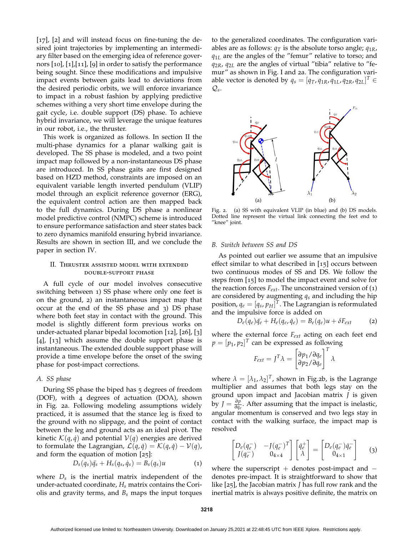[17], [2] and will instead focus on fine-tuning the desired joint trajectories by implementing an intermediary filter based on the emerging idea of reference governors [10], [1],[11], [9] in order to satisfy the performance being sought. Since these modifications and impulsive impact events between gaits lead to deviations from the desired periodic orbits, we will enforce invariance to impact in a robust fashion by applying predictive schemes withing a very short time envelope during the gait cycle, i.e. double support (DS) phase. To achieve hybrid invariance, we will leverage the unique features in our robot, i.e., the thruster.

This work is organized as follows. In section II the multi-phase dynamics for a planar walking gait is developed. The SS phase is modeled, and a two point impact map followed by a non-instantaneous DS phase are introduced. In SS phase gaits are first designed based on HZD method, constraints are imposed on an equivalent variable length inverted pendulum (VLIP) model through an explicit reference governor (ERG), the equivalent control action are then mapped back to the full dynamics. During DS phase a nonlinear model predictive control (NMPC) scheme is introduced to ensure performance satisfaction and steer states back to zero dynamics manifold ensuring hybrid invariance. Results are shown in section III, and we conclude the paper in section IV.

# II. Thruster assisted model with extended double-support phase

A full cycle of our model involves consecutive switching between 1) SS phase where only one feet is on the ground, 2) an instantaneous impact map that occur at the end of the SS phase and 3) DS phase where both feet stay in contact with the ground. This model is slightly different form previous works on under-actuated planar bipedal locomotion [12], [26], [3] [4], [13] which assume the double support phase is instantaneous. The extended double support phase will provide a time envelope before the onset of the swing phase for post-impact corrections.

# *A. SS phase*

During SS phase the biped has 5 degrees of freedom (DOF), with 4 degrees of actuation (DOA), shown in Fig. 2a. Following modeling assumptions widely practiced, it is assumed that the stance leg is fixed to the ground with no slippage, and the point of contact between the leg and ground acts as an ideal pivot. The kinetic  $\mathcal{K}(q, \dot{q})$  and potential  $\mathcal{V}(q)$  energies are derived to formulate the Lagrangian,  $\mathcal{L}(q, \dot{q}) = \mathcal{K}(q, \dot{q}) - \mathcal{V}(q)$ , and form the equation of motion [25]:

$$
D_s(q_s)\ddot{q_s} + H_s(q_s, \dot{q}_s) = B_s(q_s)u \tag{1}
$$

where *D<sup>s</sup>* is the inertial matrix independent of the under-actuated coordinate, *H<sup>s</sup>* matrix contains the Coriolis and gravity terms, and *B<sup>s</sup>* maps the input torques to the generalized coordinates. The configuration variables are as follows:  $q_T$  is the absolute torso angle;  $q_{1R}$ , *q*1*<sup>L</sup>* are the angles of the "femur" relative to torso; and *q*2*R*, *q*2*<sup>L</sup>* are the angles of virtual "tibia" relative to "femur" as shown in Fig. I and 2a. The configuration variable vector is denoted by  $q_s = [q_T, q_{1R}, q_{1L}, q_{2R}, q_{2L}]^T \in$  $\mathcal{Q}_s$ .



Fig. 2. (a) SS with equivalent VLIP (in blue) and (b) DS models. Dotted line represent the virtual link connecting the feet end to "knee" joint.

# *B. Switch between SS and DS*

As pointed out earlier we assume that an impulsive effect similar to what described in [15] occurs between two continuous modes of SS and DS. We follow the steps from [15] to model the impact event and solve for the reaction forces  $F_{ext}$ . The unconstrained version of  $(1)$ are considered by augmenting *q<sup>s</sup>* and including the hip position,  $q_e = [q_s, p_H]^T$ . The Lagrangian is reformulated and the impulsive force is added on

$$
D_e(q_e)\ddot{q_e} + H_e(q_e, \dot{q}_e) = B_e(q_e)u + \delta F_{ext}
$$
 (2)

where the external force *Fext* acting on each feet end  $p = [p_1, p_2]^T$  can be expressed as following

$$
F_{ext} = J^T \lambda = \begin{bmatrix} \frac{\partial p_1}{\partial q_e} \\ \frac{\partial p_2}{\partial q_e} \end{bmatrix}^T \lambda
$$

where  $\lambda = [\lambda_1, \lambda_2]^T$ , shown in Fig.2b, is the Lagrange multiplier and assumes that both legs stay on the ground upon impact and Jacobian matrix *J* is given  $\frac{\partial p}{\partial q}$ *∂qe* . After assuming that the impact is inelastic, angular momentum is conserved and two legs stay in contact with the walking surface, the impact map is resolved

$$
\begin{bmatrix} D_e(q_e^-) & -J(q_e^-)^T \ J(q_e^-) & 0_{4\times 4} \end{bmatrix} \begin{bmatrix} \dot{q}_e^+ \\ \lambda \end{bmatrix} = \begin{bmatrix} D_e(q_e^-)\dot{q}_e^- \\ 0_{4\times 1} \end{bmatrix} \tag{3}
$$

where the superscript + denotes post-impact and  $$ denotes pre-impact. It is straightforward to show that like [25], the Jacobian matrix *J* has full row rank and the inertial matrix is always positive definite, the matrix on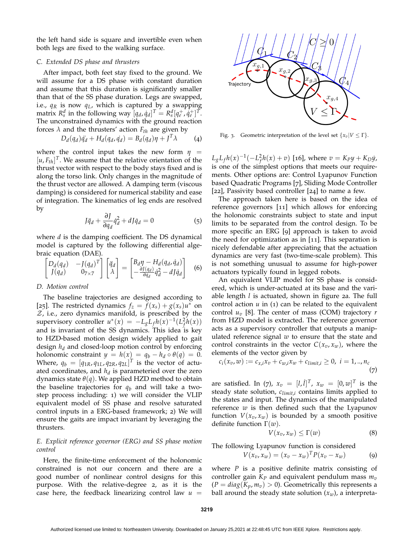the left hand side is square and invertible even when both legs are fixed to the walking surface.

#### *C. Extended DS phase and thrusters*

After impact, both feet stay fixed to the ground. We will assume for a DS phase with constant duration and assume that this duration is significantly smaller than that of the SS phase duration. Legs are swapped, i.e., *q<sup>R</sup>* is now *qL*, which is captured by a swapping matrix  $R_s^d$  in the following way  $[q_d, \dot{q}_d]^T = R_s^d [q_e^+, \dot{q}_e^+]^T$ . The unconstrained dynamics with the ground reaction forces  $\lambda$  and the thrusters' action  $F_{th}$  are given by

$$
D_d(q_d)\ddot{q_d} + H_d(q_d,\dot{q_d}) = B_d(q_d)\eta + J^T\lambda \tag{4}
$$

where the control input takes the new form  $\eta$  =  $[u, F_{th}]^T$ . We assume that the relative orientation of the thrust vector with respect to the body stays fixed and is along the torso link. Only changes in the magnitude of the thrust vector are allowed. A damping term (viscous damping) is considered for numerical stability and ease of integration. The kinematics of leg ends are resolved by

$$
J\ddot{q}_d + \frac{\partial J}{\partial q_d}\dot{q}_d^2 + dJ\dot{q}_d = 0
$$
 (5)

where *d* is the damping coefficient. The DS dynamical model is captured by the following differential algebraic equation (DAE).

$$
\begin{bmatrix} D_d(q_d) & -J(q_d)^T \ J(q_d) & 0_{7\times 7} \end{bmatrix} \begin{bmatrix} \ddot{q}_d \\ \lambda \end{bmatrix} = \begin{bmatrix} B_d \eta - H_d(q_d, \dot{q}_d) \\ -\frac{\partial J(q_d)}{\partial q_d} \dot{q}_d^2 - dJ\dot{q}_d \end{bmatrix}
$$
 (6)

### *D. Motion control*

The baseline trajectories are designed according to [25]. The restricted dynamics  $f_z = \tilde{f}(x_s) + g(x_s)u^*$  on  $Z$ , i.e., zero dynamics manifold, is prescribed by the supervisory controller  $u^*(x) = -L_g L_f h(x)^{-1} (L_f^2 h(x))$ and is invariant of the SS dynamics. This idea is key to HZD-based motion design widely applied to gait design *h<sup>d</sup>* and closed-loop motion control by enforcing holonomic constraint  $y = h(x) = q_b - h_d \circ \theta(q) = 0$ . Where,  $q_b = [q_{1R}, q_{1L}, q_{2R}, q_{2L}]^T$  is the vector of actuated coordinates, and *h<sup>d</sup>* is parameteried over the zero dynamics state *θ*(*q*). We applied HZD method to obtain the baseline trajectories for  $q_b$  and will take a twostep process including: 1) we will consider the VLIP equivalent model of SS phase and resolve saturated control inputs in a ERG-based framework; 2) We will ensure the gaits are impact invariant by leveraging the thrusters.

## *E. Explicit reference governor (ERG) and SS phase motion control*

Here, the finite-time enforcement of the holonomic constrained is not our concern and there are a good number of nonlinear control designs for this purpose. With the relative-degree 2, as it is the case here, the feedback linearizing control law  $u =$ 



Fig. 3. Geometric interpretation of the level set  $\{x_v | V \leq \Gamma\}$ .

 $L_g L_f h(x)^{-1}(-L_f^2 h(x) + v)$  [16], where  $v = K_p y + K_D y$ , is one of the simplest options that meets our requirements. Other options are: Control Lyapunov Function based Quadratic Programs [7], Sliding Mode Controller [22], Passivity based controller [24] to name a few.

The approach taken here is based on the idea of reference governors [11] which allows for enforcing the holonomic constraints subject to state and input limits to be separated from the control design. To be more specific an ERG [9] approach is taken to avoid the need for optimization as in [11]. This separation is nicely defendable after appreciating that the actuation dynamics are very fast (two-time-scale problem). This is not something unusual to assume for high-power actuators typically found in legged robots.

An equivalent VLIP model for SS phase is considered, which is under-actuated at its base and the variable length *l* is actuated, shown in figure 2a. The full control action  $u$  in  $(1)$  can be related to the equivalent control *u<sup>v</sup>* [8]. The center of mass (COM) trajectory *r* from HZD model is extracted. The reference governor acts as a supervisory controller that outputs a manipulated reference signal *w* to ensure that the state and control constraints in the vector  $C(x_v, x_w)$ , where the elements of the vector given by

$$
c_i(x_v, w) := c_{x,i}x_v + c_{w,i}x_w + c_{limit,i} \ge 0, \ i = 1, ..., n_c
$$
\n(7)

are satisfied. In (7),  $x_v = [l, l]^T$ ,  $x_w = [0, w]^T$  is the steady state solution, *climit*,*<sup>i</sup>* contains limits applied to the states and input. The dynamics of the manipulated reference *w* is then defined such that the Lyapunov function  $V(x_v, x_w)$  is bounded by a smooth positive definite function Γ(*w*).

$$
V(x_v, x_w) \leq \Gamma(w) \tag{8}
$$

The following Lyapunov function is considered

$$
V(x_v, x_w) = (x_v - x_w)^T P(x_v - x_w)
$$
 (9)

where *P* is a positive definite matrix consisting of controller gain *K<sup>P</sup>* and equivalent pendulum mass *m<sup>v</sup>*  $(P = diag(K_p, m_v) > 0)$ . Geometrically this represents a ball around the steady state solution (*xw*), a interpreta-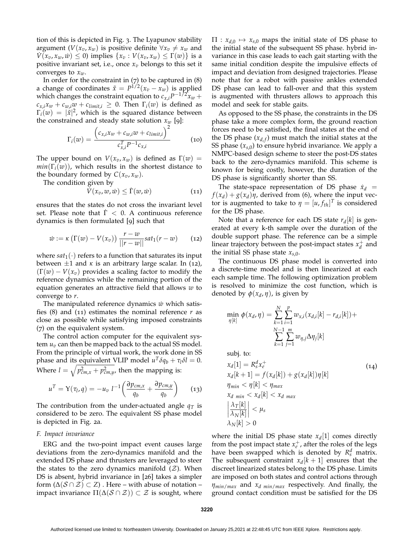tion of this is depicted in Fig. 3. The Lyapunov stability argument ( $V(x_v, x_w)$  is positive definite  $\forall x_v \neq x_w$  and  $V(x_v, x_w, w) \leq 0$ ) implies  $\{x_v : V(x_v, x_w) \leq \Gamma(w)\}\$ is a positive invariant set, i.e., once  $x_v$  belongs to this set it converges to *xw*.

In order for the constraint in  $(7)$  to be captured in  $(8)$ a change of coordinates  $\tilde{x} = P^{1/2}(x_v - x_w)$  is applied which changes the constraint equation to  $c_{x,i}p^{-1/2}x_w +$  $c_{x,i}x_w + c_{w,i}w + c_{limit,i} \geq 0$ . Then  $\Gamma_i(w)$  is defined as  $\Gamma_i(w) = |\tilde{x}|^2$ , which is the squared distance between the constrained and steady state solution  $x_w$  [9]:

$$
\Gamma_i(w) = \frac{\left(c_{x,i}x_w + c_{w,i}w + c_{limit,i}\right)^2}{c_{x,i}^T P^{-1} c_{x,i}}
$$
(10)

The upper bound on  $V(x_v, x_w)$  is defined as  $\Gamma(w) =$  $min(\Gamma_i(w))$ , which results in the shortest distance to the boundary formed by  $C(x_v, x_w)$ .

The condition given by

$$
\dot{V}(x_v, w, \dot{w}) \leq \dot{\Gamma}(w, \dot{w}) \tag{11}
$$

ensures that the states do not cross the invariant level set. Please note that  $\Gamma$  < 0. A continuous reference dynamics is then formulated [9] such that

$$
\dot{w} := \kappa \left( \Gamma(w) - V(x_v) \right) \frac{r - w}{||r - w||} sat_1(r - w) \qquad (12)
$$

where  $sat_1(\cdot)$  refers to a function that saturates its input between  $\pm 1$  and  $\kappa$  is an arbitrary large scalar. In (12),  $(\Gamma(w) - V(x_v)$  provides a scaling factor to modify the reference dynamics while the remaining portion of the equation generates an attractive field that allows *w* to converge to *r*.

The manipulated reference dynamics *w*˙ which satisfies (8) and (11) estimates the nominal reference *r* as close as possible while satisfying imposed constraints (7) on the equivalent system.

The control action computer for the equivalent system *u<sup>v</sup>* can then be mapped back to the actual SS model. From the principle of virtual work, the work done in SS phase and its equivalent VLIP model  $u^T \delta q_b + \tau_l \delta l = 0$ . Where  $l = \sqrt{p_{cm,x}^2 + p_{cm,y}^2}$ , then the mapping is:

$$
u^T = \Upsilon(\tau_l, q) = -u_v l^{-1} \left( \frac{\partial p_{cm,x}}{q_b} + \frac{\partial p_{cm,y}}{q_b} \right) \qquad (13)
$$

The contribution from the under-actuated angle  $q<sub>T</sub>$  is considered to be zero. The equivalent SS phase model is depicted in Fig. 2a.

#### *F. Impact invariance*

ERG and the two-point impact event causes large deviations from the zero-dynamics manifold and the extended DS phase and thrusters are leveraged to steer the states to the zero dynamics manifold  $(Z)$ . When DS is absent, hybrid invariance in [26] takes a simpler form  $(\Delta(\mathcal{S} \cap \mathcal{Z}) \subset Z)$ . Here – with abuse of notation – impact invariance  $\Pi(\Delta(\mathcal{S} \cap \mathcal{Z})) \subset \mathcal{Z}$  is sought, where  $\Pi$  :  $x_{d,0} \mapsto x_{s,0}$  maps the initial state of DS phase to the initial state of the subsequent SS phase. hybrid invariance in this case leads to each gait starting with the same initial condition despite the impulsive effects of impact and deviation from designed trajectories. Please note that for a robot with passive ankles extended DS phase can lead to fall-over and that this system is augmented with thrusters allows to approach this model and seek for stable gaits.

As opposed to the SS phase, the constraints in the DS phase take a more complex form, the ground reaction forces need to be satisfied, the final states at the end of the DS phase  $(x_{d,f})$  must match the initial states at the SS phase  $(x_{s,0})$  to ensure hybrid invariance. We apply a NMPC-based design scheme to steer the post-DS states back to the zero-dynamics manifold. This scheme is known for being costly, however, the duration of the DS phase is significantly shorter than SS.

The state-space representation of DS phase  $\dot{x}_d$  =  $f(x_d) + g(x_d)\eta$ , derived from (6), where the input vector is augmented to take to  $\eta = [u, f_{th}]^T$  is considered for the DS phase.

Note that a reference for each DS state *r<sup>d</sup>* [*k*] is generated at every k-th sample over the duration of the double support phase. The reference can be a simple linear trajectory between the post-impact states  $x_d^+$  $_d^+$  and the initial SS phase state  $x_{s,0}$ .

The continuous DS phase model is converted into a discrete-time model and is then linearized at each each sample time. The following optimization problem is resolved to minimize the cost function, which is denoted by  $\phi(x_d, \eta)$ , is given by

$$
\min_{\eta[k]} \phi(x_d, \eta) = \sum_{k=1}^{N} \sum_{i=1}^{p} w_{x,i}(x_{d,i}[k] - r_{d,i}[k]) + \sum_{\substack{N=1 \ N=1}}^{N-1} \sum_{j=1}^{m} w_{\eta,j} \Delta \eta_j[k]
$$

subj. to:

$$
x_d[1] = R_s^d x_e^+
$$
  
\n
$$
x_d[k+1] = f(x_d[k]) + g(x_d[k])\eta[k]
$$
  
\n
$$
\eta_{min} < \eta[k] < \eta_{max}
$$
  
\n
$$
x_d_{min} < x_d[k] < x_d_{max}
$$
  
\n
$$
\left| \frac{\lambda_T[k]}{\lambda_N[k]} \right| < \mu_s
$$
  
\n
$$
\lambda_N[k] > 0
$$
\n(14)

where the initial DS phase state  $x_d$ [1] comes directly from the post impact state  $x_e^+$ , after the roles of the legs have been swapped which is denoted by  $R_s^d$  matrix. The subsequent constraint  $x_d[k+1]$  ensures that the discreet linearized states belong to the DS phase. Limits are imposed on both states and control actions through *ηmin*/*max* and *xd min*/*max* respectively. And finally, the ground contact condition must be satisfied for the DS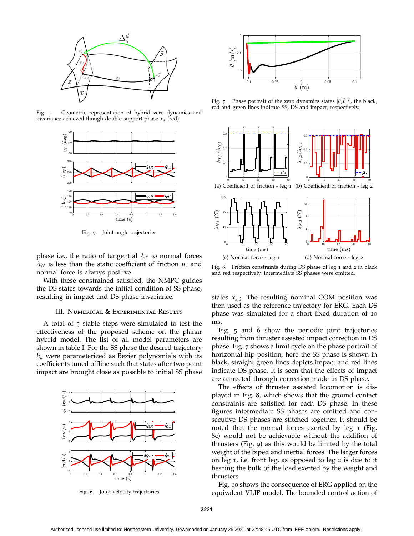

Fig. 4. Geometric representation of hybrid zero dynamics and invariance achieved though double support phase *x<sup>d</sup>* (red)



Fig. 5. Joint angle trajectories

phase i.e., the ratio of tangential  $\lambda_T$  to normal forces  $\lambda_N$  is less than the static coefficient of friction  $\mu_s$  and normal force is always positive.

With these constrained satisfied, the NMPC guides the DS states towards the initial condition of SS phase, resulting in impact and DS phase invariance.

# III. Numerical & Experimental Results

A total of 5 stable steps were simulated to test the effectiveness of the proposed scheme on the planar hybrid model. The list of all model parameters are shown in table I. For the SS phase the desired trajectory *h<sup>d</sup>* were parameterized as Bezier polynomials with its coefficients tuned offline such that states after two point impact are brought close as possible to initial SS phase



Fig. 6. Joint velocity trajectories



Fig. 7. Phase portrait of the zero dynamics states  $[\theta, \dot{\theta}]^T$ , the black, red and green lines indicate SS, DS and impact, respectively.



Fig. 8. Friction constraints during DS phase of leg 1 and 2 in black and red respectively. Intermediate SS phases were omitted.

states *xs*,0. The resulting nominal COM position was then used as the reference trajectory for ERG. Each DS phase was simulated for a short fixed duration of 10 ms.

Fig. 5 and 6 show the periodic joint trajectories resulting from thruster assisted impact correction in DS phase. Fig. 7 shows a limit cycle on the phase portrait of horizontal hip position, here the SS phase is shown in black, straight green lines depicts impact and red lines indicate DS phase. It is seen that the effects of impact are corrected through correction made in DS phase.

The effects of thruster assisted locomotion is displayed in Fig. 8, which shows that the ground contact constraints are satisfied for each DS phase. In these figures intermediate SS phases are omitted and consecutive DS phases are stitched together. It should be noted that the normal forces exerted by leg 1 (Fig. 8c) would not be achievable without the addition of thrusters (Fig. 9) as this would be limited by the total weight of the biped and inertial forces. The larger forces on leg 1, i.e. front leg, as opposed to leg 2 is due to it bearing the bulk of the load exerted by the weight and thrusters.

Fig. 10 shows the consequence of ERG applied on the equivalent VLIP model. The bounded control action of

**3221**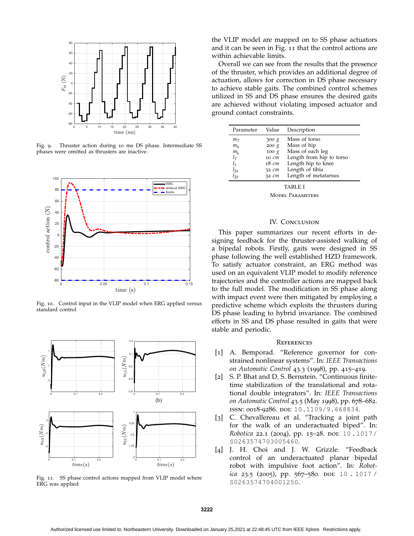

Fig. 9. Thruster action during 10 ms DS phase. Intermediate SS phases were omitted as thrusters are inactive.



Fig. 10. Control input in the VLIP model when ERG applied versus standard control



Fig. 11. SS phase control actions mapped from VLIP model where ERG was applied

the VLIP model are mapped on to SS phase actuators and it can be seen in Fig. 11 that the control actions are within achievable limits.

Overall we can see from the results that the presence of the thruster, which provides an additional degree of actuation, allows for correction in DS phase necessary to achieve stable gaits. The combined control schemes utilized in SS and DS phase ensures the desired gaits are achieved without violating imposed actuator and ground contact constraints.

| Parameter               | Value     | Description              |
|-------------------------|-----------|--------------------------|
| $m_T$                   | 300 g     | Mass of torso            |
| $m_h$                   | 200 g     | Mass of hip              |
| $m_k$                   | 100 g     | Mass of each leg         |
| $l_T$                   | 10 cm     | Length from hip to torso |
| $l_1$                   | 18 cm     | Length hip to knee       |
| $l_{2a}$                | 32 cm     | Length of tibia          |
| $l_{2b}$                | $32$ $cm$ | Length of metatarsus     |
|                         |           | TABLE I                  |
| <b>MODEL PARAMETERS</b> |           |                          |

#### IV. CONCLUSION

This paper summarizes our recent efforts in designing feedback for the thruster-assisted walking of a bipedal robots. Firstly, gaits were designed in SS phase following the well established HZD framework. To satisfy actuator constraint, an ERG method was used on an equivalent VLIP model to modify reference trajectories and the controller actions are mapped back to the full model. The modification in SS phase along with impact event were then mitigated by employing a predictive scheme which exploits the thrusters during DS phase leading to hybrid invariance. The combined efforts in SS and DS phase resulted in gaits that were stable and periodic.

#### **REFERENCES**

- [1] A. Bemporad. "Reference governor for constrained nonlinear systems". In: *IEEE Transactions on Automatic Control* 43.3 (1998), pp. 415–419.
- [2] S. P. Bhat and D. S. Bernstein. "Continuous finitetime stabilization of the translational and rotational double integrators". In: *IEEE Transactions on Automatic Control* 43.5 (May 1998), pp. 678–682. issn: 0018-9286. doi: 10.1109/9.668834.
- [3] C. Chevallereau et al. "Tracking a joint path for the walk of an underactuated biped". In: *Robotica* 22.1 (2004), pp. 15-28. DOI: 10.1017/ S0263574703005460.
- [4] J. H. Choi and J. W. Grizzle. "Feedback control of an underactuated planar bipedal robot with impulsive foot action". In: *Robotica* 23.5 (2005), pp. 567-580. DOI: 10 . 1017 / S0263574704001250.